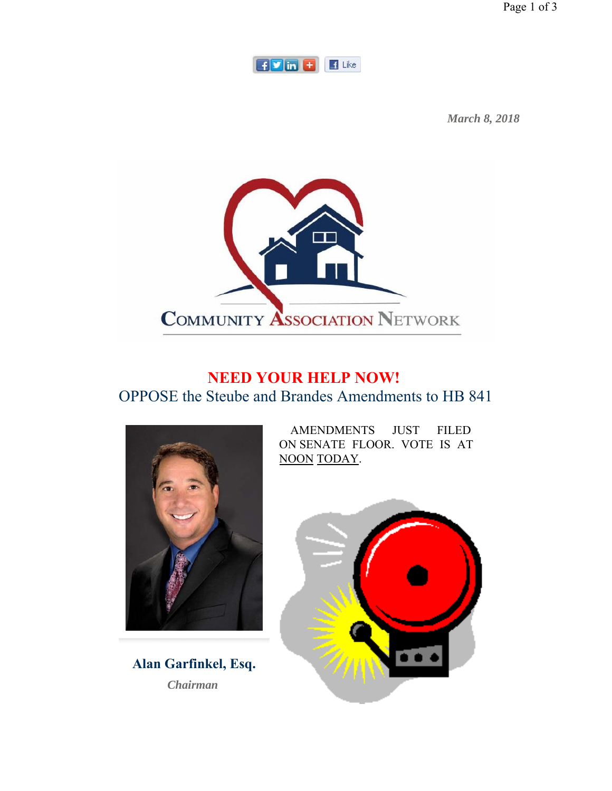Page 1 of 3



*March 8, 2018*



## **NEED YOUR HELP NOW!** OPPOSE the Steube and Brandes Amendments to HB 841



**Alan Garfinkel, Esq.** *Chairman* 

AMENDMENTS JUST FILED ON SENATE FLOOR. VOTE IS AT NOON TODAY.

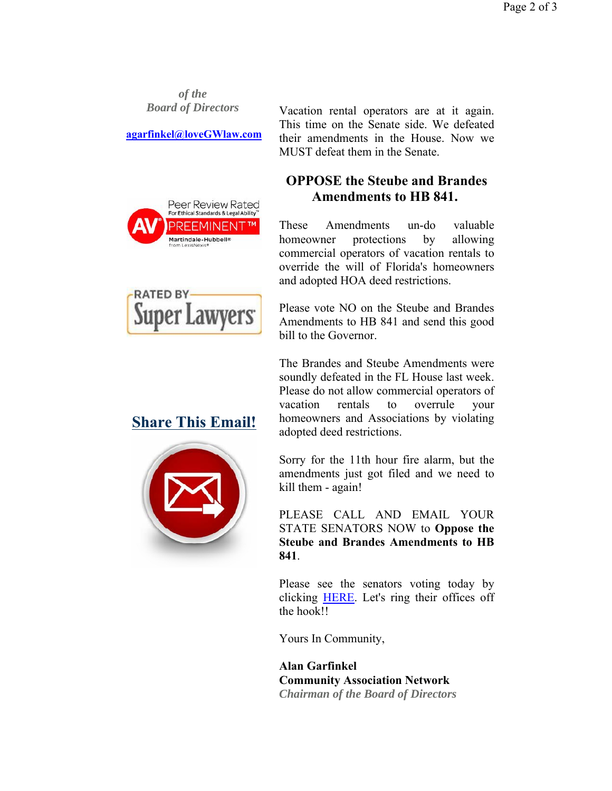*of the Board of Directors*

**agarfinkel@loveGWlaw.com**

Peer Review Rated For Ethical Standards & Legal Ability PREEMINENT Martindale-Hubbell®



## **OPPOSE the Steube and Brandes Amendments to HB 841.**

These Amendments un-do valuable homeowner protections by allowing commercial operators of vacation rentals to override the will of Florida's homeowners and adopted HOA deed restrictions.

Please vote NO on the Steube and Brandes Amendments to HB 841 and send this good bill to the Governor.

The Brandes and Steube Amendments were soundly defeated in the FL House last week. Please do not allow commercial operators of vacation rentals to overrule your homeowners and Associations by violating adopted deed restrictions.

Sorry for the 11th hour fire alarm, but the amendments just got filed and we need to kill them - again!

PLEASE CALL AND EMAIL YOUR STATE SENATORS NOW to **Oppose the Steube and Brandes Amendments to HB 841**.

Please see the senators voting today by clicking HERE. Let's ring their offices off the hook!!

Yours In Community,

**Alan Garfinkel Community Association Network** *Chairman of the Board of Directors*



**Super Lawyers** 

**RATED BY**